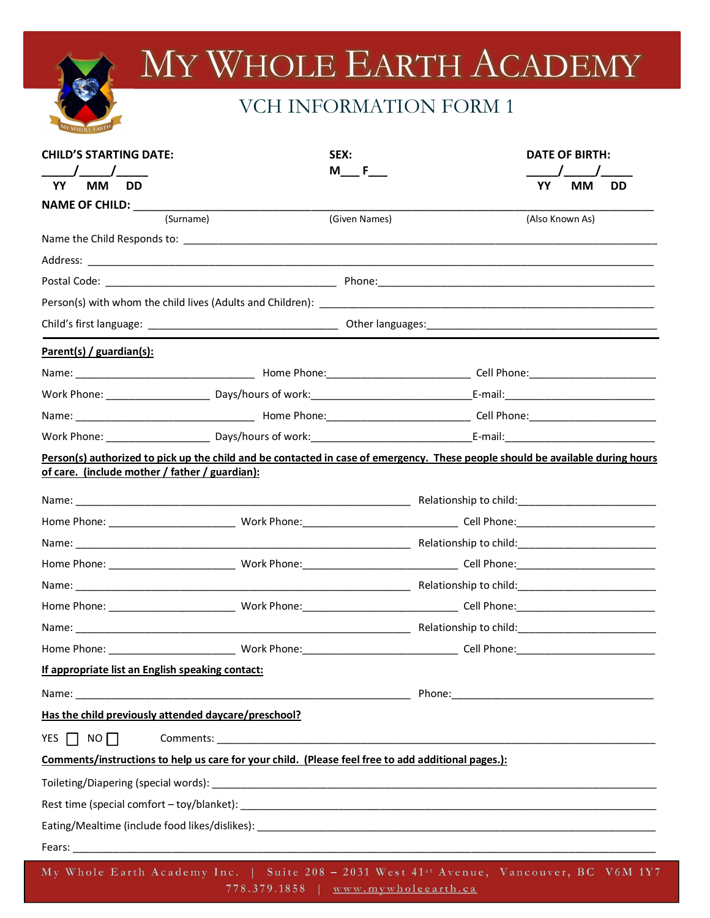## MY WHOLE EARTH ACADEMY

## VCH INFORMATION FORM 1

| <b>CHILD'S STARTING DATE:</b><br>$\sqrt{1}$                                                                                                                                                                                   |  | SEX:<br>M F   |  |                 | DATE OF BIRTH: |           |
|-------------------------------------------------------------------------------------------------------------------------------------------------------------------------------------------------------------------------------|--|---------------|--|-----------------|----------------|-----------|
| YY<br><b>MM</b><br><b>DD</b>                                                                                                                                                                                                  |  |               |  | YY              | МM             | <b>DD</b> |
| NAME OF CHILD: ____________                                                                                                                                                                                                   |  |               |  |                 |                |           |
| (Surname)                                                                                                                                                                                                                     |  | (Given Names) |  | (Also Known As) |                |           |
|                                                                                                                                                                                                                               |  |               |  |                 |                |           |
|                                                                                                                                                                                                                               |  |               |  |                 |                |           |
|                                                                                                                                                                                                                               |  |               |  |                 |                |           |
|                                                                                                                                                                                                                               |  |               |  |                 |                |           |
|                                                                                                                                                                                                                               |  |               |  |                 |                |           |
| Parent(s) / guardian(s):                                                                                                                                                                                                      |  |               |  |                 |                |           |
|                                                                                                                                                                                                                               |  |               |  |                 |                |           |
|                                                                                                                                                                                                                               |  |               |  |                 |                |           |
|                                                                                                                                                                                                                               |  |               |  |                 |                |           |
|                                                                                                                                                                                                                               |  |               |  |                 |                |           |
| Person(s) authorized to pick up the child and be contacted in case of emergency. These people should be available during hours<br>of care. (include mother / father / guardian):                                              |  |               |  |                 |                |           |
|                                                                                                                                                                                                                               |  |               |  |                 |                |           |
|                                                                                                                                                                                                                               |  |               |  |                 |                |           |
|                                                                                                                                                                                                                               |  |               |  |                 |                |           |
|                                                                                                                                                                                                                               |  |               |  |                 |                |           |
|                                                                                                                                                                                                                               |  |               |  |                 |                |           |
|                                                                                                                                                                                                                               |  |               |  |                 |                |           |
|                                                                                                                                                                                                                               |  |               |  |                 |                |           |
|                                                                                                                                                                                                                               |  |               |  |                 |                |           |
| If appropriate list an English speaking contact:                                                                                                                                                                              |  |               |  |                 |                |           |
| Name: Name and the second contract of the second contract of the second contract of the second contract of the second contract of the second contract of the second contract of the second contract of the second contract of |  |               |  |                 |                |           |
| Has the child previously attended daycare/preschool?                                                                                                                                                                          |  |               |  |                 |                |           |
| YES $\Box$ NO $\Box$                                                                                                                                                                                                          |  |               |  |                 |                |           |
| Comments/instructions to help us care for your child. (Please feel free to add additional pages.):                                                                                                                            |  |               |  |                 |                |           |
|                                                                                                                                                                                                                               |  |               |  |                 |                |           |
|                                                                                                                                                                                                                               |  |               |  |                 |                |           |
|                                                                                                                                                                                                                               |  |               |  |                 |                |           |
|                                                                                                                                                                                                                               |  |               |  |                 |                |           |
| My Whole Earth Academy Inc.   Suite 208 - 2031 West 41st Avenue, Vancouver, BC V6M 1Y7                                                                                                                                        |  |               |  |                 |                |           |

778.379.1858 | www.mywholeearth.ca